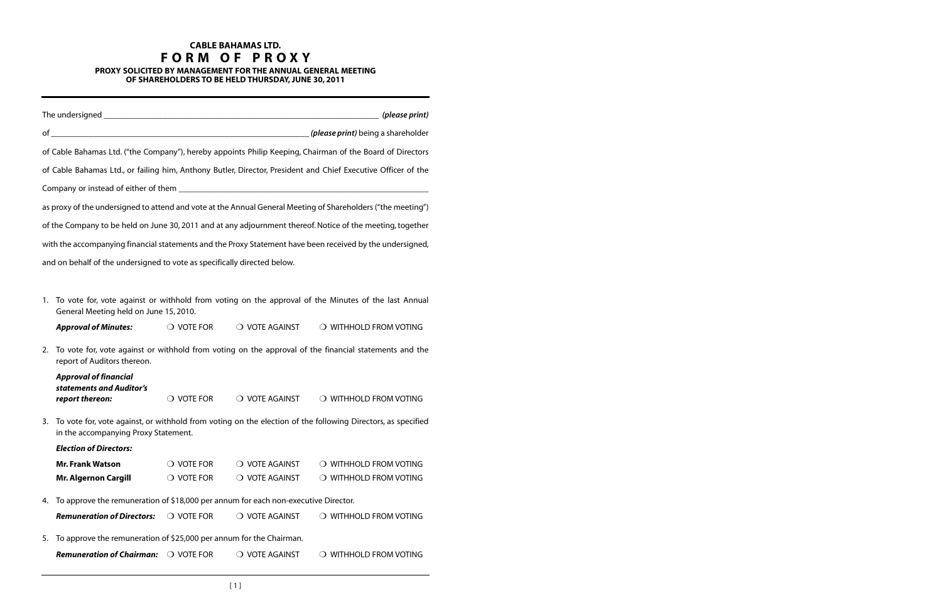## **CABLE BAHAMAS LTD. F O R M O F P R O X Y PROXY SOLICITED BY MANAGEMENT FOR THE ANNUAL GENERAL MEETING**

**OF SHAREHOLDERS TO BE HELD THURSDAY, JUNE 30, 2011**

|    | The undersigned entertainment and the understanding of the understanding of the understanding of the understanding of the unit of the understanding of the unit of the unit of the unit of the unit of the unit of the unit of |                                                                                                     |                | (please print)                                                                                                |  |  |
|----|--------------------------------------------------------------------------------------------------------------------------------------------------------------------------------------------------------------------------------|-----------------------------------------------------------------------------------------------------|----------------|---------------------------------------------------------------------------------------------------------------|--|--|
|    |                                                                                                                                                                                                                                |                                                                                                     |                | ( <i>please print</i> ) being a shareholder                                                                   |  |  |
|    |                                                                                                                                                                                                                                |                                                                                                     |                | of Cable Bahamas Ltd. ("the Company"), hereby appoints Philip Keeping, Chairman of the Board of Directors     |  |  |
|    |                                                                                                                                                                                                                                |                                                                                                     |                | of Cable Bahamas Ltd., or failing him, Anthony Butler, Director, President and Chief Executive Officer of the |  |  |
|    |                                                                                                                                                                                                                                |                                                                                                     |                |                                                                                                               |  |  |
|    |                                                                                                                                                                                                                                |                                                                                                     |                | as proxy of the undersigned to attend and vote at the Annual General Meeting of Shareholders ("the meeting")  |  |  |
|    |                                                                                                                                                                                                                                |                                                                                                     |                |                                                                                                               |  |  |
|    |                                                                                                                                                                                                                                |                                                                                                     |                | of the Company to be held on June 30, 2011 and at any adjournment thereof. Notice of the meeting, together    |  |  |
|    |                                                                                                                                                                                                                                |                                                                                                     |                | with the accompanying financial statements and the Proxy Statement have been received by the undersigned,     |  |  |
|    | and on behalf of the undersigned to vote as specifically directed below.                                                                                                                                                       |                                                                                                     |                |                                                                                                               |  |  |
|    |                                                                                                                                                                                                                                |                                                                                                     |                |                                                                                                               |  |  |
| 1. | General Meeting held on June 15, 2010.                                                                                                                                                                                         | To vote for, vote against or withhold from voting on the approval of the Minutes of the last Annual |                |                                                                                                               |  |  |
|    | <b>Approval of Minutes:</b>                                                                                                                                                                                                    | $\bigcirc$ vote for                                                                                 | O VOTE AGAINST | O WITHHOLD FROM VOTING                                                                                        |  |  |
| 2. | To vote for, vote against or withhold from voting on the approval of the financial statements and the<br>report of Auditors thereon.                                                                                           |                                                                                                     |                |                                                                                                               |  |  |
|    | <b>Approval of financial</b>                                                                                                                                                                                                   |                                                                                                     |                |                                                                                                               |  |  |
|    | statements and Auditor's<br>report thereon:                                                                                                                                                                                    | $\bigcirc$ vote for                                                                                 | O VOTE AGAINST | O WITHHOLD FROM VOTING                                                                                        |  |  |
| 3. | To vote for, vote against, or withhold from voting on the election of the following Directors, as specified<br>in the accompanying Proxy Statement.                                                                            |                                                                                                     |                |                                                                                                               |  |  |
|    | <b>Election of Directors:</b>                                                                                                                                                                                                  |                                                                                                     |                |                                                                                                               |  |  |
|    | <b>Mr. Frank Watson</b>                                                                                                                                                                                                        | $\bigcirc$ vote for                                                                                 | O VOTE AGAINST | O WITHHOLD FROM VOTING                                                                                        |  |  |
|    | <b>Mr. Algernon Cargill</b>                                                                                                                                                                                                    | $\bigcirc$ vote for                                                                                 | O VOTE AGAINST | O WITHHOLD FROM VOTING                                                                                        |  |  |
| 4. | To approve the remuneration of \$18,000 per annum for each non-executive Director.                                                                                                                                             |                                                                                                     |                |                                                                                                               |  |  |
|    | <b>Remuneration of Directors:</b>                                                                                                                                                                                              | $\bigcirc$ vote for                                                                                 | O VOTE AGAINST | O WITHHOLD FROM VOTING                                                                                        |  |  |
| 5. | To approve the remuneration of \$25,000 per annum for the Chairman.                                                                                                                                                            |                                                                                                     |                |                                                                                                               |  |  |
|    | <b>Remuneration of Chairman:</b>                                                                                                                                                                                               | $\bigcirc$ vote for                                                                                 | O VOTE AGAINST | $\bigcirc$ withhold from voting                                                                               |  |  |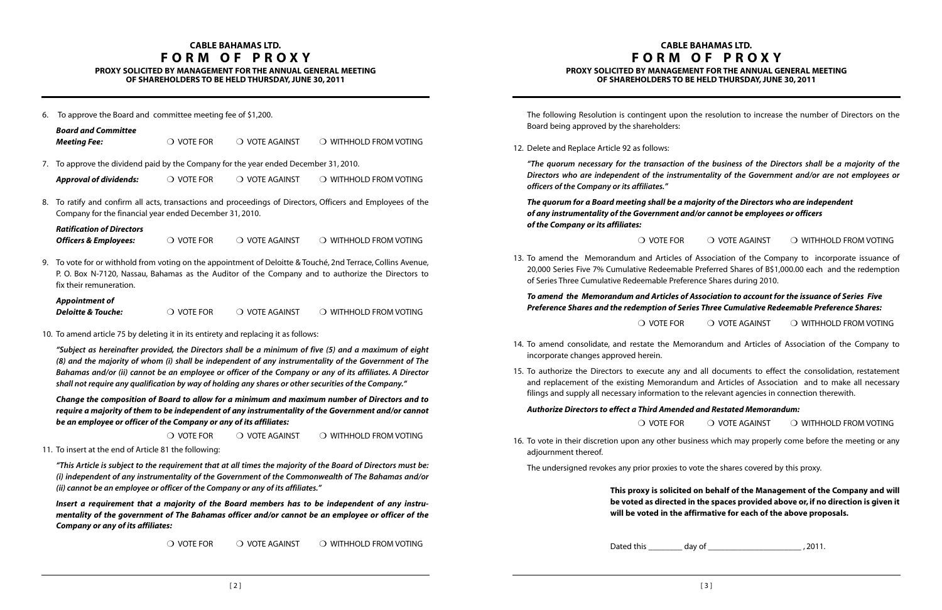The following Resolution is contingent upon the resolution to increase the number of Directors on the Board being approved by the shareholders:

12. Delete and Replace Article 92 as follows:

"The quorum necessary for the transaction of the business of the Directors shall be a majority of the **Directors who are independent of the instrumentality of the Government and/or are not employees or officers of the Company or its affiliates."**

**The quorum for a Board meeting shall be a majority of the Directors who are independent of any instrumentality of the Government and/or cannot be employees or officers of the Company or its affiliates:**

13. To amend the Memorandum and Articles of Association of the Company to incorporate issuance of 20,000 Series Five 7% Cumulative Redeemable Preferred Shares of B\$1,000.00 each and the redemption

 $\bigcirc$  vote for  $\hspace{1.5mm}$   $\bigcirc$  vote against  $\hspace{1.5mm}$   $\bigcirc$  withhold from voting

of Series Three Cumulative Redeemable Preference Shares during 2010.

### **To amend the Memorandum and Articles of Association to account for the issuance of Series Five Preference Shares and the redemption of Series Three Cumulative Redeemable Preference Shares:**

14. To amend consolidate, and restate the Memorandum and Articles of Association of the Company to

15. To authorize the Directors to execute any and all documents to effect the consolidation, restatement and replacement of the existing Memorandum and Articles of Association and to make all necessary

 $\bigcirc$  vote for  $\hspace{.1cm} \bigcirc$  vote against  $\hspace{.1cm} \bigcirc$  withhold from voting

- incorporate changes approved herein.
- filings and supply all necessary information to the relevant agencies in connection therewith.

**Authorize Directors to effect a Third Amended and Restated Memorandum:**

16. To vote in their discretion upon any other business which may properly come before the meeting or any

adjournment thereof.

The undersigned revokes any prior proxies to vote the shares covered by this proxy.

### **This proxy is solicited on behalf of the Management of the Company and will be voted as directed in the spaces provided above or, if no direction is given it will be voted in the affirmative for each of the above proposals.**

Dated this \_\_\_\_\_\_\_\_ day of \_\_\_\_\_\_\_\_\_\_\_\_\_\_\_\_\_\_\_\_\_\_ , 2011.

### **CABLE BAHAMAS LTD. F O R M O F P R O X Y PROXY SOLICITED BY MANAGEMENT FOR THE ANNUAL GENERAL MEETING OF SHAREHOLDERS TO BE HELD THURSDAY, JUNE 30, 2011**

 $\bigcirc$  vote for  $\hspace{1.5mm}$   $\bigcirc$  vote against  $\hspace{1.5mm}$   $\bigcirc$  with HOLD from voting

6. To approve the Board and committee meeting fee of \$1,200.

|    | <b>Board and Committee</b><br><b>Meeting Fee:</b>                                                                                                                                                                                                                                                                                                                                                                                                                                                                          | $\bigcirc$ vote for | $\bigcirc$ vote against | O WITHHOLD FROM VOTING |  |  |  |
|----|----------------------------------------------------------------------------------------------------------------------------------------------------------------------------------------------------------------------------------------------------------------------------------------------------------------------------------------------------------------------------------------------------------------------------------------------------------------------------------------------------------------------------|---------------------|-------------------------|------------------------|--|--|--|
| 7. | To approve the dividend paid by the Company for the year ended December 31, 2010.                                                                                                                                                                                                                                                                                                                                                                                                                                          |                     |                         |                        |  |  |  |
|    | <b>Approval of dividends:</b>                                                                                                                                                                                                                                                                                                                                                                                                                                                                                              | $\bigcirc$ vote for | O VOTE AGAINST          | O WITHHOLD FROM VOTING |  |  |  |
| 8. | To ratify and confirm all acts, transactions and proceedings of Directors, Officers and Employees of the<br>Company for the financial year ended December 31, 2010.                                                                                                                                                                                                                                                                                                                                                        |                     |                         |                        |  |  |  |
|    | <b>Ratification of Directors</b><br><b>Officers &amp; Employees:</b>                                                                                                                                                                                                                                                                                                                                                                                                                                                       | $\bigcirc$ vote for | O VOTE AGAINST          | O WITHHOLD FROM VOTING |  |  |  |
| 9. | To vote for or withhold from voting on the appointment of Deloitte & Touché, 2nd Terrace, Collins Avenue,<br>P. O. Box N-7120, Nassau, Bahamas as the Auditor of the Company and to authorize the Directors to<br>fix their remuneration.                                                                                                                                                                                                                                                                                  |                     |                         |                        |  |  |  |
|    | <b>Appointment of</b><br><b>Deloitte &amp; Touche:</b>                                                                                                                                                                                                                                                                                                                                                                                                                                                                     | $\bigcirc$ vote for | O VOTE AGAINST          | O WITHHOLD FROM VOTING |  |  |  |
|    | 10. To amend article 75 by deleting it in its entirety and replacing it as follows:<br>"Subject as hereinafter provided, the Directors shall be a minimum of five (5) and a maximum of eight<br>(8) and the majority of whom (i) shall be independent of any instrumentality of the Government of The<br>Bahamas and/or (ii) cannot be an employee or officer of the Company or any of its affiliates. A Director<br>shall not require any qualification by way of holding any shares or other securities of the Company." |                     |                         |                        |  |  |  |
|    |                                                                                                                                                                                                                                                                                                                                                                                                                                                                                                                            |                     |                         |                        |  |  |  |
|    | Change the composition of Board to allow for a minimum and maximum number of Directors and to<br>require a majority of them to be independent of any instrumentality of the Government and/or cannot<br>be an employee or officer of the Company or any of its affiliates:                                                                                                                                                                                                                                                 |                     |                         |                        |  |  |  |
|    |                                                                                                                                                                                                                                                                                                                                                                                                                                                                                                                            | $\bigcirc$ vote for | O VOTE AGAINST          | O WITHHOLD FROM VOTING |  |  |  |
|    | 11. To insert at the end of Article 81 the following:                                                                                                                                                                                                                                                                                                                                                                                                                                                                      |                     |                         |                        |  |  |  |
|    | "This Article is subject to the requirement that at all times the majority of the Board of Directors must be:<br>(i) independent of any instrumentality of the Government of the Commonwealth of The Bahamas and/or<br>(ii) cannot be an employee or officer of the Company or any of its affiliates."                                                                                                                                                                                                                     |                     |                         |                        |  |  |  |
|    | Insert a requirement that a majority of the Board members has to be independent of any instru-                                                                                                                                                                                                                                                                                                                                                                                                                             |                     |                         |                        |  |  |  |

**mentality of the government of The Bahamas officer and/or cannot be an employee or officer of the Company or any of its affiliates:**

 $\overline{O}$  vote for  $\overline{O}$  vote against  $\overline{O}$  withhold from voting

### **CABLE BAHAMAS LTD. F O R M O F P R O X Y PROXY SOLICITED BY MANAGEMENT FOR THE ANNUAL GENERAL MEETING**

**OF SHAREHOLDERS TO BE HELD THURSDAY, JUNE 30, 2011**